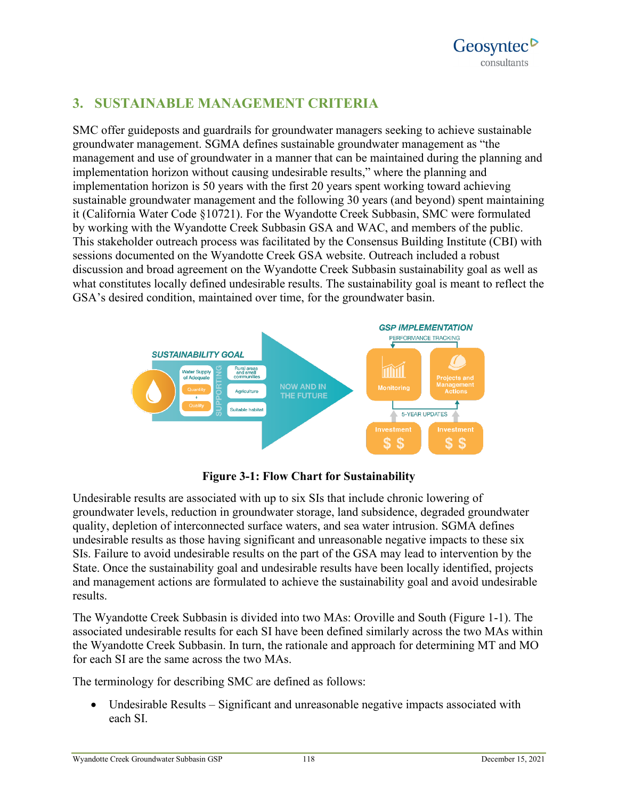# **3. SUSTAINABLE MANAGEMENT CRITERIA**

SMC offer guideposts and guardrails for groundwater managers seeking to achieve sustainable groundwater management. SGMA defines sustainable groundwater management as "the management and use of groundwater in a manner that can be maintained during the planning and implementation horizon without causing undesirable results," where the planning and implementation horizon is 50 years with the first 20 years spent working toward achieving sustainable groundwater management and the following 30 years (and beyond) spent maintaining it (California Water Code §10721). For the Wyandotte Creek Subbasin, SMC were formulated by working with the Wyandotte Creek Subbasin GSA and WAC, and members of the public. This stakeholder outreach process was facilitated by the Consensus Building Institute (CBI) with sessions documented on the Wyandotte Creek GSA website. Outreach included a robust discussion and broad agreement on the Wyandotte Creek Subbasin sustainability goal as well as what constitutes locally defined undesirable results. The sustainability goal is meant to reflect the GSA's desired condition, maintained over time, for the groundwater basin.



## **Figure 3-1: Flow Chart for Sustainability**

Undesirable results are associated with up to six SIs that include chronic lowering of groundwater levels, reduction in groundwater storage, land subsidence, degraded groundwater quality, depletion of interconnected surface waters, and sea water intrusion. SGMA defines undesirable results as those having significant and unreasonable negative impacts to these six SIs. Failure to avoid undesirable results on the part of the GSA may lead to intervention by the State. Once the sustainability goal and undesirable results have been locally identified, projects and management actions are formulated to achieve the sustainability goal and avoid undesirable results.

The Wyandotte Creek Subbasin is divided into two MAs: Oroville and South (Figure 1-1). The associated undesirable results for each SI have been defined similarly across the two MAs within the Wyandotte Creek Subbasin. In turn, the rationale and approach for determining MT and MO for each SI are the same across the two MAs.

The terminology for describing SMC are defined as follows:

• Undesirable Results – Significant and unreasonable negative impacts associated with each SI.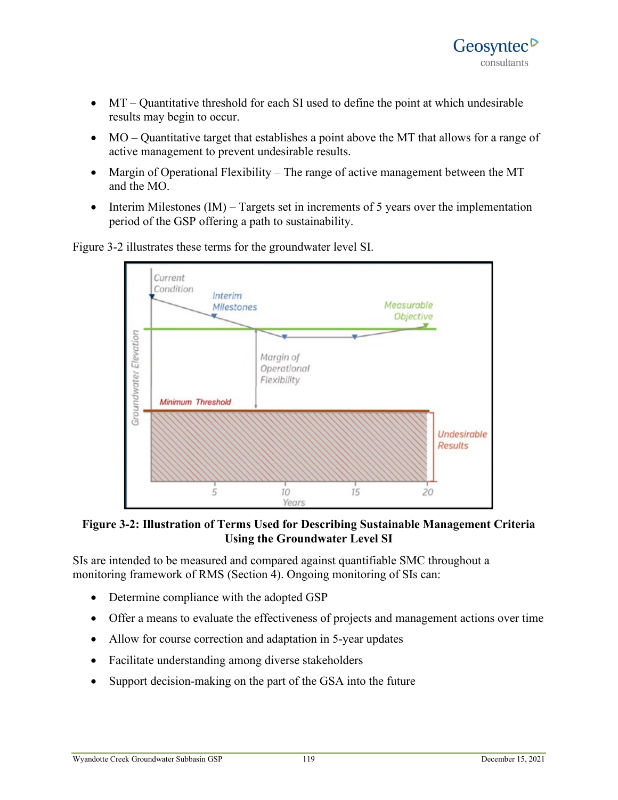- MT Quantitative threshold for each SI used to define the point at which undesirable results may begin to occur.
- MO Quantitative target that establishes a point above the MT that allows for a range of active management to prevent undesirable results.
- Margin of Operational Flexibility The range of active management between the MT and the MO.
- Interim Milestones  $(IM)$  Targets set in increments of 5 years over the implementation period of the GSP offering a path to sustainability.

Current Condition Interim Measurable **Milestones Objective** Groundwater Elevation Marain of Operational Flexibility **Minimum Threshold Undesirable Results** 15 5 10 20 Years

Figure 3-2 illustrates these terms for the groundwater level SI.

**Figure 3-2: Illustration of Terms Used for Describing Sustainable Management Criteria Using the Groundwater Level SI**

SIs are intended to be measured and compared against quantifiable SMC throughout a monitoring framework of RMS (Section 4). Ongoing monitoring of SIs can:

- Determine compliance with the adopted GSP
- Offer a means to evaluate the effectiveness of projects and management actions over time
- Allow for course correction and adaptation in 5-year updates
- Facilitate understanding among diverse stakeholders
- Support decision-making on the part of the GSA into the future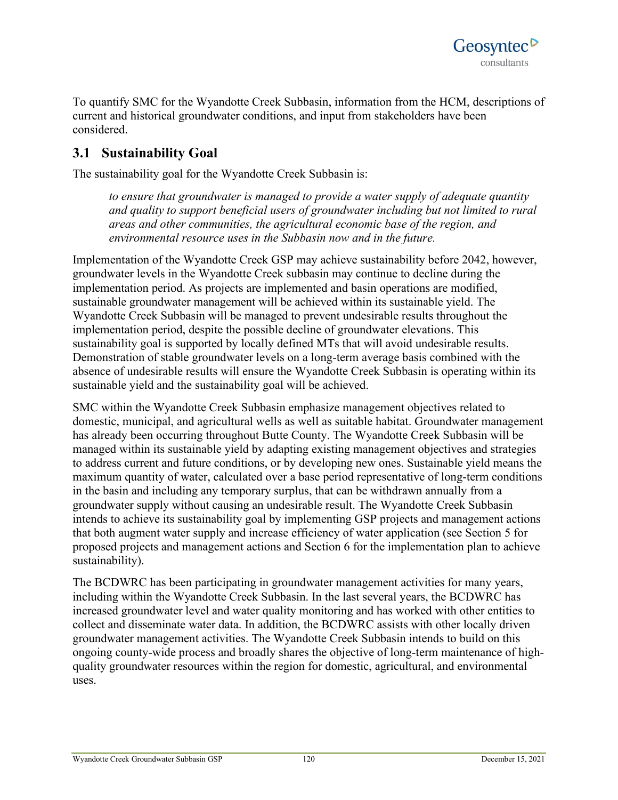

To quantify SMC for the Wyandotte Creek Subbasin, information from the HCM, descriptions of current and historical groundwater conditions, and input from stakeholders have been considered.

## **3.1 Sustainability Goal**

The sustainability goal for the Wyandotte Creek Subbasin is:

*to ensure that groundwater is managed to provide a water supply of adequate quantity and quality to support beneficial users of groundwater including but not limited to rural areas and other communities, the agricultural economic base of the region, and environmental resource uses in the Subbasin now and in the future.*

Implementation of the Wyandotte Creek GSP may achieve sustainability before 2042, however, groundwater levels in the Wyandotte Creek subbasin may continue to decline during the implementation period. As projects are implemented and basin operations are modified, sustainable groundwater management will be achieved within its sustainable yield. The Wyandotte Creek Subbasin will be managed to prevent undesirable results throughout the implementation period, despite the possible decline of groundwater elevations. This sustainability goal is supported by locally defined MTs that will avoid undesirable results. Demonstration of stable groundwater levels on a long-term average basis combined with the absence of undesirable results will ensure the Wyandotte Creek Subbasin is operating within its sustainable yield and the sustainability goal will be achieved.

SMC within the Wyandotte Creek Subbasin emphasize management objectives related to domestic, municipal, and agricultural wells as well as suitable habitat. Groundwater management has already been occurring throughout Butte County. The Wyandotte Creek Subbasin will be managed within its sustainable yield by adapting existing management objectives and strategies to address current and future conditions, or by developing new ones. Sustainable yield means the maximum quantity of water, calculated over a base period representative of long-term conditions in the basin and including any temporary surplus, that can be withdrawn annually from a groundwater supply without causing an undesirable result. The Wyandotte Creek Subbasin intends to achieve its sustainability goal by implementing GSP projects and management actions that both augment water supply and increase efficiency of water application (see Section 5 for proposed projects and management actions and Section 6 for the implementation plan to achieve sustainability).

The BCDWRC has been participating in groundwater management activities for many years, including within the Wyandotte Creek Subbasin. In the last several years, the BCDWRC has increased groundwater level and water quality monitoring and has worked with other entities to collect and disseminate water data. In addition, the BCDWRC assists with other locally driven groundwater management activities. The Wyandotte Creek Subbasin intends to build on this ongoing county-wide process and broadly shares the objective of long-term maintenance of highquality groundwater resources within the region for domestic, agricultural, and environmental uses.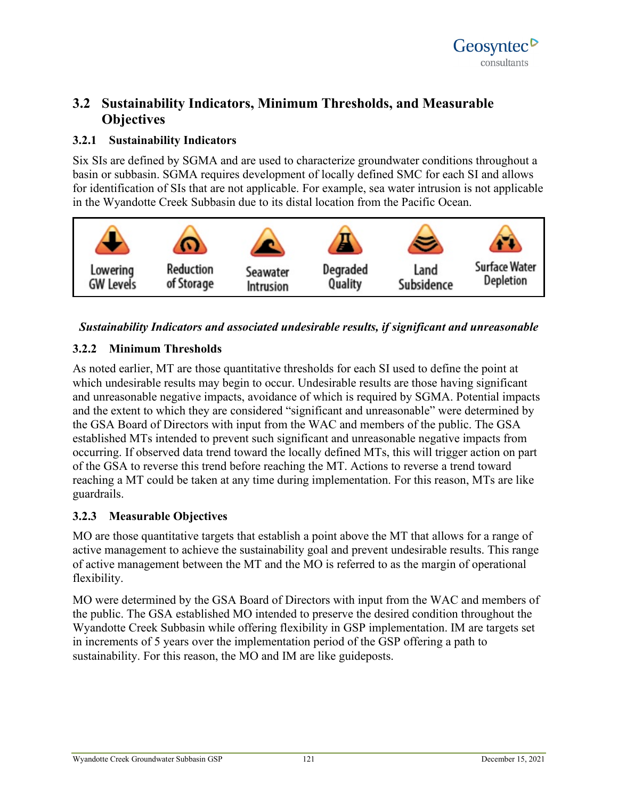# **3.2 Sustainability Indicators, Minimum Thresholds, and Measurable Objectives**

## **3.2.1 Sustainability Indicators**

Six SIs are defined by SGMA and are used to characterize groundwater conditions throughout a basin or subbasin. SGMA requires development of locally defined SMC for each SI and allows for identification of SIs that are not applicable. For example, sea water intrusion is not applicable in the Wyandotte Creek Subbasin due to its distal location from the Pacific Ocean.



### *Sustainability Indicators and associated undesirable results, if significant and unreasonable*

## **3.2.2 Minimum Thresholds**

As noted earlier, MT are those quantitative thresholds for each SI used to define the point at which undesirable results may begin to occur. Undesirable results are those having significant and unreasonable negative impacts, avoidance of which is required by SGMA. Potential impacts and the extent to which they are considered "significant and unreasonable" were determined by the GSA Board of Directors with input from the WAC and members of the public. The GSA established MTs intended to prevent such significant and unreasonable negative impacts from occurring. If observed data trend toward the locally defined MTs, this will trigger action on part of the GSA to reverse this trend before reaching the MT. Actions to reverse a trend toward reaching a MT could be taken at any time during implementation. For this reason, MTs are like guardrails.

## **3.2.3 Measurable Objectives**

MO are those quantitative targets that establish a point above the MT that allows for a range of active management to achieve the sustainability goal and prevent undesirable results. This range of active management between the MT and the MO is referred to as the margin of operational flexibility.

MO were determined by the GSA Board of Directors with input from the WAC and members of the public. The GSA established MO intended to preserve the desired condition throughout the Wyandotte Creek Subbasin while offering flexibility in GSP implementation. IM are targets set in increments of 5 years over the implementation period of the GSP offering a path to sustainability. For this reason, the MO and IM are like guideposts.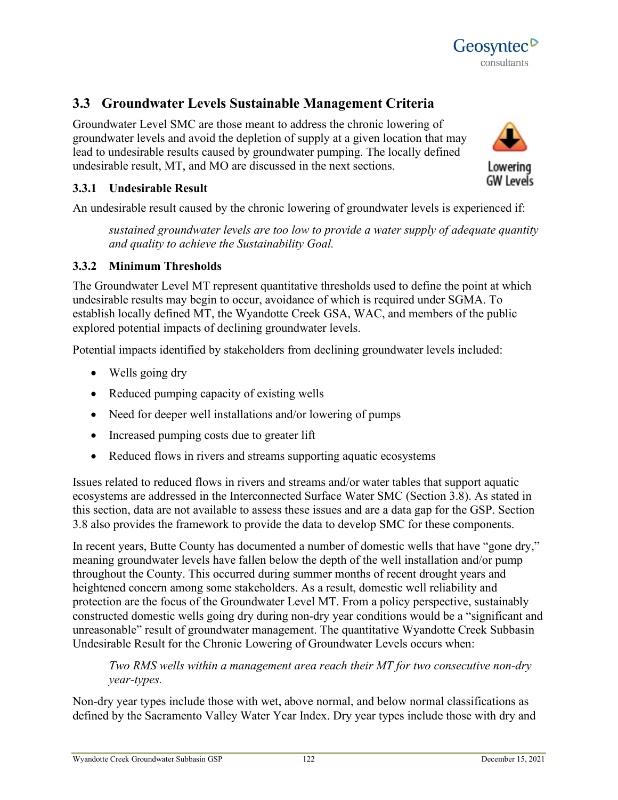

Groundwater Level SMC are those meant to address the chronic lowering of groundwater levels and avoid the depletion of supply at a given location that may lead to undesirable results caused by groundwater pumping. The locally defined undesirable result, MT, and MO are discussed in the next sections.



Geosyntec<sup>D</sup> consultants

## **3.3.1 Undesirable Result**

An undesirable result caused by the chronic lowering of groundwater levels is experienced if:

*sustained groundwater levels are too low to provide a water supply of adequate quantity and quality to achieve the Sustainability Goal.*

### **3.3.2 Minimum Thresholds**

The Groundwater Level MT represent quantitative thresholds used to define the point at which undesirable results may begin to occur, avoidance of which is required under SGMA. To establish locally defined MT, the Wyandotte Creek GSA, WAC, and members of the public explored potential impacts of declining groundwater levels.

Potential impacts identified by stakeholders from declining groundwater levels included:

- Wells going dry
- Reduced pumping capacity of existing wells
- Need for deeper well installations and/or lowering of pumps
- Increased pumping costs due to greater lift
- Reduced flows in rivers and streams supporting aquatic ecosystems

Issues related to reduced flows in rivers and streams and/or water tables that support aquatic ecosystems are addressed in the Interconnected Surface Water SMC (Section 3.8). As stated in this section, data are not available to assess these issues and are a data gap for the GSP. Section 3.8 also provides the framework to provide the data to develop SMC for these components.

In recent years, Butte County has documented a number of domestic wells that have "gone dry," meaning groundwater levels have fallen below the depth of the well installation and/or pump throughout the County. This occurred during summer months of recent drought years and heightened concern among some stakeholders. As a result, domestic well reliability and protection are the focus of the Groundwater Level MT. From a policy perspective, sustainably constructed domestic wells going dry during non-dry year conditions would be a "significant and unreasonable" result of groundwater management. The quantitative Wyandotte Creek Subbasin Undesirable Result for the Chronic Lowering of Groundwater Levels occurs when:

*Two RMS wells within a management area reach their MT for two consecutive non-dry year-types.* 

Non-dry year types include those with wet, above normal, and below normal classifications as defined by the Sacramento Valley Water Year Index. Dry year types include those with dry and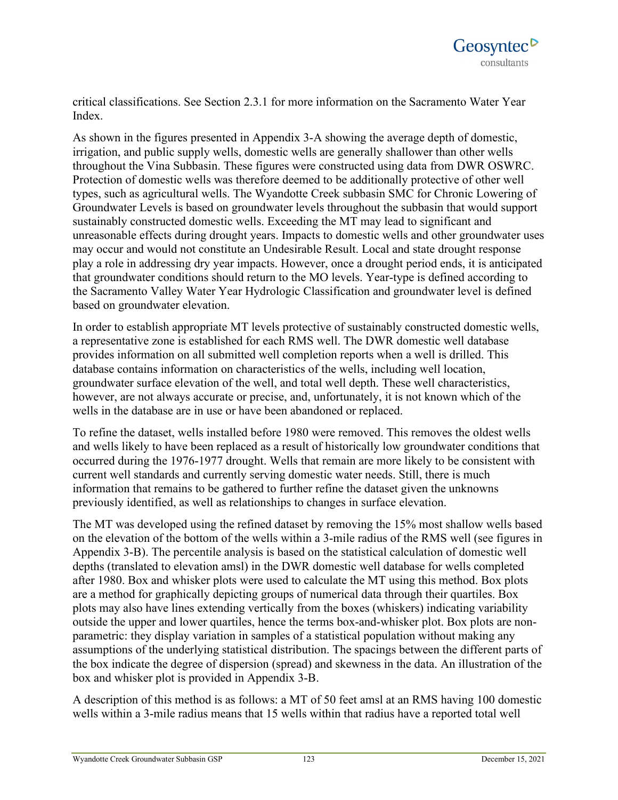critical classifications. See Section 2.3.1 for more information on the Sacramento Water Year Index.

As shown in the figures presented in Appendix 3-A showing the average depth of domestic, irrigation, and public supply wells, domestic wells are generally shallower than other wells throughout the Vina Subbasin. These figures were constructed using data from DWR OSWRC. Protection of domestic wells was therefore deemed to be additionally protective of other well types, such as agricultural wells. The Wyandotte Creek subbasin SMC for Chronic Lowering of Groundwater Levels is based on groundwater levels throughout the subbasin that would support sustainably constructed domestic wells. Exceeding the MT may lead to significant and unreasonable effects during drought years. Impacts to domestic wells and other groundwater uses may occur and would not constitute an Undesirable Result. Local and state drought response play a role in addressing dry year impacts. However, once a drought period ends, it is anticipated that groundwater conditions should return to the MO levels. Year-type is defined according to the Sacramento Valley Water Year Hydrologic Classification and groundwater level is defined based on groundwater elevation.

In order to establish appropriate MT levels protective of sustainably constructed domestic wells, a representative zone is established for each RMS well. The DWR domestic well database provides information on all submitted well completion reports when a well is drilled. This database contains information on characteristics of the wells, including well location, groundwater surface elevation of the well, and total well depth. These well characteristics, however, are not always accurate or precise, and, unfortunately, it is not known which of the wells in the database are in use or have been abandoned or replaced.

To refine the dataset, wells installed before 1980 were removed. This removes the oldest wells and wells likely to have been replaced as a result of historically low groundwater conditions that occurred during the 1976-1977 drought. Wells that remain are more likely to be consistent with current well standards and currently serving domestic water needs. Still, there is much information that remains to be gathered to further refine the dataset given the unknowns previously identified, as well as relationships to changes in surface elevation.

The MT was developed using the refined dataset by removing the 15% most shallow wells based on the elevation of the bottom of the wells within a 3-mile radius of the RMS well (see figures in Appendix 3-B). The percentile analysis is based on the statistical calculation of domestic well depths (translated to elevation amsl) in the DWR domestic well database for wells completed after 1980. Box and whisker plots were used to calculate the MT using this method. Box plots are a method for graphically depicting groups of numerical data through their quartiles. Box plots may also have lines extending vertically from the boxes (whiskers) indicating variability outside the upper and lower quartiles, hence the terms box-and-whisker plot. Box plots are nonparametric: they display variation in samples of a statistical population without making any assumptions of the underlying statistical distribution. The spacings between the different parts of the box indicate the degree of dispersion (spread) and skewness in the data. An illustration of the box and whisker plot is provided in Appendix 3-B.

A description of this method is as follows: a MT of 50 feet amsl at an RMS having 100 domestic wells within a 3-mile radius means that 15 wells within that radius have a reported total well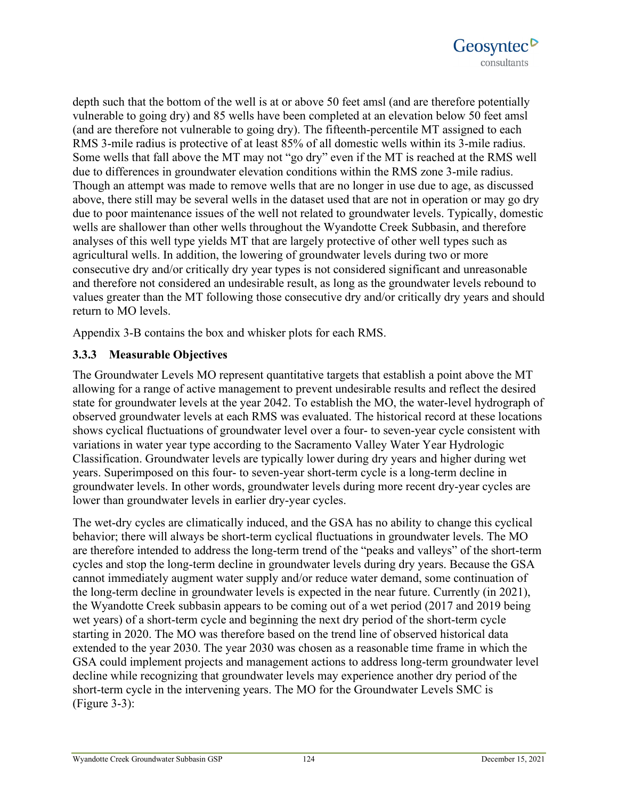

depth such that the bottom of the well is at or above 50 feet amsl (and are therefore potentially vulnerable to going dry) and 85 wells have been completed at an elevation below 50 feet amsl (and are therefore not vulnerable to going dry). The fifteenth-percentile MT assigned to each RMS 3-mile radius is protective of at least 85% of all domestic wells within its 3-mile radius. Some wells that fall above the MT may not "go dry" even if the MT is reached at the RMS well due to differences in groundwater elevation conditions within the RMS zone 3-mile radius. Though an attempt was made to remove wells that are no longer in use due to age, as discussed above, there still may be several wells in the dataset used that are not in operation or may go dry due to poor maintenance issues of the well not related to groundwater levels. Typically, domestic wells are shallower than other wells throughout the Wyandotte Creek Subbasin, and therefore analyses of this well type yields MT that are largely protective of other well types such as agricultural wells. In addition, the lowering of groundwater levels during two or more consecutive dry and/or critically dry year types is not considered significant and unreasonable and therefore not considered an undesirable result, as long as the groundwater levels rebound to values greater than the MT following those consecutive dry and/or critically dry years and should return to MO levels.

Appendix 3-B contains the box and whisker plots for each RMS.

### **3.3.3 Measurable Objectives**

The Groundwater Levels MO represent quantitative targets that establish a point above the MT allowing for a range of active management to prevent undesirable results and reflect the desired state for groundwater levels at the year 2042. To establish the MO, the water-level hydrograph of observed groundwater levels at each RMS was evaluated. The historical record at these locations shows cyclical fluctuations of groundwater level over a four- to seven-year cycle consistent with variations in water year type according to the Sacramento Valley Water Year Hydrologic Classification. Groundwater levels are typically lower during dry years and higher during wet years. Superimposed on this four- to seven-year short-term cycle is a long-term decline in groundwater levels. In other words, groundwater levels during more recent dry-year cycles are lower than groundwater levels in earlier dry-year cycles.

The wet-dry cycles are climatically induced, and the GSA has no ability to change this cyclical behavior; there will always be short-term cyclical fluctuations in groundwater levels. The MO are therefore intended to address the long-term trend of the "peaks and valleys" of the short-term cycles and stop the long-term decline in groundwater levels during dry years. Because the GSA cannot immediately augment water supply and/or reduce water demand, some continuation of the long-term decline in groundwater levels is expected in the near future. Currently (in 2021), the Wyandotte Creek subbasin appears to be coming out of a wet period (2017 and 2019 being wet years) of a short-term cycle and beginning the next dry period of the short-term cycle starting in 2020. The MO was therefore based on the trend line of observed historical data extended to the year 2030. The year 2030 was chosen as a reasonable time frame in which the GSA could implement projects and management actions to address long-term groundwater level decline while recognizing that groundwater levels may experience another dry period of the short-term cycle in the intervening years. The MO for the Groundwater Levels SMC is (Figure 3-3):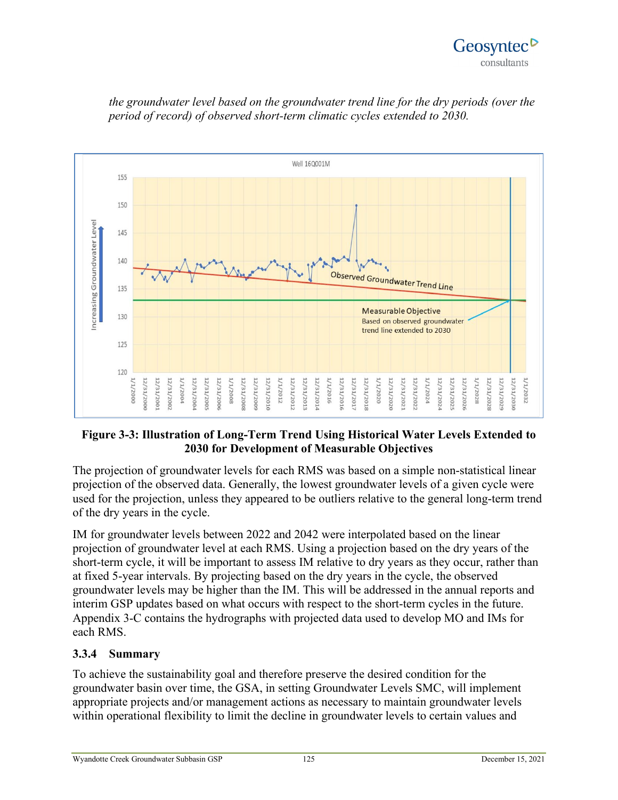



*the groundwater level based on the groundwater trend line for the dry periods (over the period of record) of observed short-term climatic cycles extended to 2030.*

### **Figure 3-3: Illustration of Long-Term Trend Using Historical Water Levels Extended to 2030 for Development of Measurable Objectives**

The projection of groundwater levels for each RMS was based on a simple non-statistical linear projection of the observed data. Generally, the lowest groundwater levels of a given cycle were used for the projection, unless they appeared to be outliers relative to the general long-term trend of the dry years in the cycle.

IM for groundwater levels between 2022 and 2042 were interpolated based on the linear projection of groundwater level at each RMS. Using a projection based on the dry years of the short-term cycle, it will be important to assess IM relative to dry years as they occur, rather than at fixed 5-year intervals. By projecting based on the dry years in the cycle, the observed groundwater levels may be higher than the IM. This will be addressed in the annual reports and interim GSP updates based on what occurs with respect to the short-term cycles in the future. Appendix 3-C contains the hydrographs with projected data used to develop MO and IMs for each RMS.

### **3.3.4 Summary**

To achieve the sustainability goal and therefore preserve the desired condition for the groundwater basin over time, the GSA, in setting Groundwater Levels SMC, will implement appropriate projects and/or management actions as necessary to maintain groundwater levels within operational flexibility to limit the decline in groundwater levels to certain values and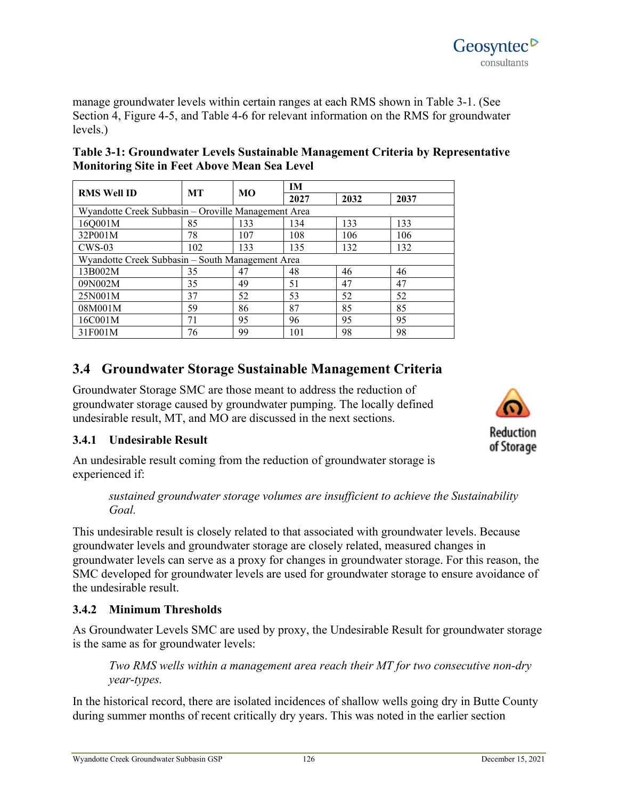Wyandotte Creek Groundwater Subbasin GSP 126 126 126 December 15, 2021

manage groundwater levels within certain ranges at each RMS shown in Table 3-1. (See Section 4, Figure 4-5, and Table 4-6 for relevant information on the RMS for groundwater levels.)

| <b>RMS Well ID</b>                                  | <b>MT</b> | MO  | IM   |      |      |  |  |  |
|-----------------------------------------------------|-----------|-----|------|------|------|--|--|--|
|                                                     |           |     | 2027 | 2032 | 2037 |  |  |  |
| Wyandotte Creek Subbasin – Oroville Management Area |           |     |      |      |      |  |  |  |
| 16Q001M                                             | 85        | 133 | 134  | 133  | 133  |  |  |  |
| 32P001M                                             | 78        | 107 | 108  | 106  | 106  |  |  |  |
| $CWS-03$                                            | 102       | 133 | 135  | 132  | 132  |  |  |  |
| Wyandotte Creek Subbasin - South Management Area    |           |     |      |      |      |  |  |  |
| 13B002M                                             | 35        | 47  | 48   | 46   | 46   |  |  |  |
| 09N002M                                             | 35        | 49  | 51   | 47   | 47   |  |  |  |
| 25N001M                                             | 37        | 52  | 53   | 52   | 52   |  |  |  |
| 08M001M                                             | 59        | 86  | 87   | 85   | 85   |  |  |  |
| 16C001M                                             | 71        | 95  | 96   | 95   | 95   |  |  |  |
| 31F001M                                             | 76        | 99  | 101  | 98   | 98   |  |  |  |

## **Table 3-1: Groundwater Levels Sustainable Management Criteria by Representative Monitoring Site in Feet Above Mean Sea Level**

# **3.4 Groundwater Storage Sustainable Management Criteria**

Groundwater Storage SMC are those meant to address the reduction of groundwater storage caused by groundwater pumping. The locally defined undesirable result, MT, and MO are discussed in the next sections.

## **3.4.1 Undesirable Result**

An undesirable result coming from the reduction of groundwater storage is experienced if:

### *sustained groundwater storage volumes are insufficient to achieve the Sustainability Goal.*

This undesirable result is closely related to that associated with groundwater levels. Because groundwater levels and groundwater storage are closely related, measured changes in groundwater levels can serve as a proxy for changes in groundwater storage. For this reason, the SMC developed for groundwater levels are used for groundwater storage to ensure avoidance of the undesirable result.

## **3.4.2 Minimum Thresholds**

As Groundwater Levels SMC are used by proxy, the Undesirable Result for groundwater storage is the same as for groundwater levels:

*Two RMS wells within a management area reach their MT for two consecutive non-dry year-types.* 

In the historical record, there are isolated incidences of shallow wells going dry in Butte County during summer months of recent critically dry years. This was noted in the earlier section



Geosyntec<sup>o</sup> consultants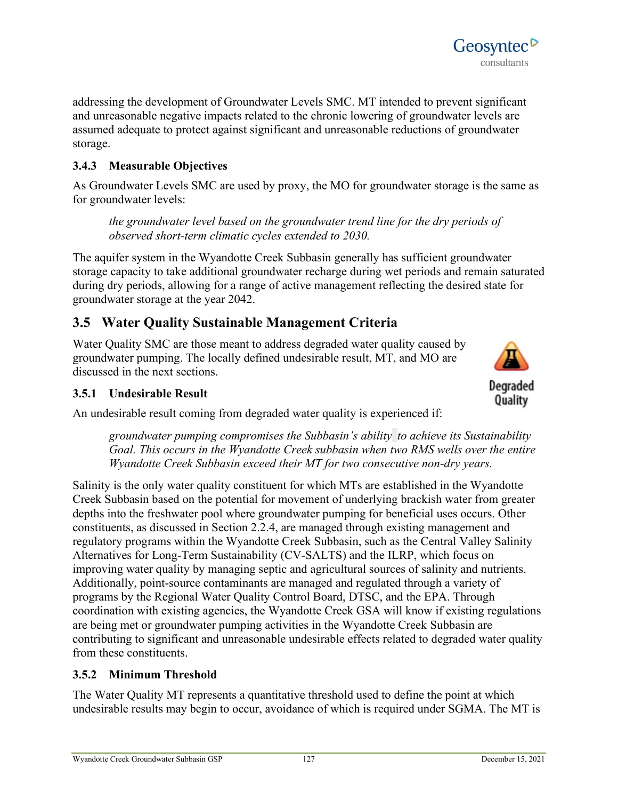addressing the development of Groundwater Levels SMC. MT intended to prevent significant and unreasonable negative impacts related to the chronic lowering of groundwater levels are assumed adequate to protect against significant and unreasonable reductions of groundwater storage.

## **3.4.3 Measurable Objectives**

As Groundwater Levels SMC are used by proxy, the MO for groundwater storage is the same as for groundwater levels:

*the groundwater level based on the groundwater trend line for the dry periods of observed short-term climatic cycles extended to 2030.*

The aquifer system in the Wyandotte Creek Subbasin generally has sufficient groundwater storage capacity to take additional groundwater recharge during wet periods and remain saturated during dry periods, allowing for a range of active management reflecting the desired state for groundwater storage at the year 2042.

## **3.5 Water Quality Sustainable Management Criteria**

Water Quality SMC are those meant to address degraded water quality caused by groundwater pumping. The locally defined undesirable result, MT, and MO are discussed in the next sections.

### **3.5.1 Undesirable Result**

An undesirable result coming from degraded water quality is experienced if:

*groundwater pumping compromises the Subbasin's ability to achieve its Sustainability Goal. This occurs in the Wyandotte Creek subbasin when two RMS wells over the entire Wyandotte Creek Subbasin exceed their MT for two consecutive non-dry years.*

Salinity is the only water quality constituent for which MTs are established in the Wyandotte Creek Subbasin based on the potential for movement of underlying brackish water from greater depths into the freshwater pool where groundwater pumping for beneficial uses occurs. Other constituents, as discussed in Section 2.2.4, are managed through existing management and regulatory programs within the Wyandotte Creek Subbasin, such as the Central Valley Salinity Alternatives for Long-Term Sustainability (CV-SALTS) and the ILRP, which focus on improving water quality by managing septic and agricultural sources of salinity and nutrients. Additionally, point-source contaminants are managed and regulated through a variety of programs by the Regional Water Quality Control Board, DTSC, and the EPA. Through coordination with existing agencies, the Wyandotte Creek GSA will know if existing regulations are being met or groundwater pumping activities in the Wyandotte Creek Subbasin are contributing to significant and unreasonable undesirable effects related to degraded water quality from these constituents.

### **3.5.2 Minimum Threshold**

The Water Quality MT represents a quantitative threshold used to define the point at which undesirable results may begin to occur, avoidance of which is required under SGMA. The MT is



Degraded Quality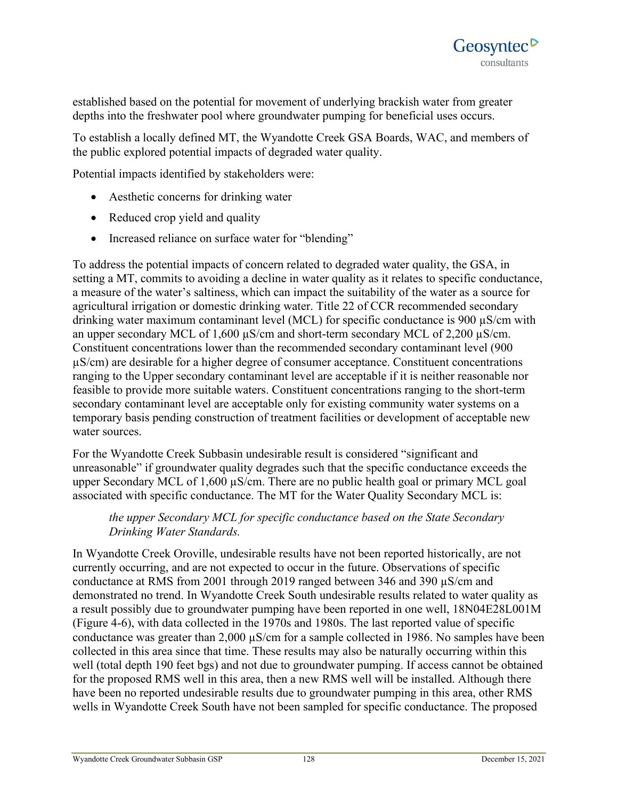established based on the potential for movement of underlying brackish water from greater depths into the freshwater pool where groundwater pumping for beneficial uses occurs.

To establish a locally defined MT, the Wyandotte Creek GSA Boards, WAC, and members of the public explored potential impacts of degraded water quality.

Potential impacts identified by stakeholders were:

- Aesthetic concerns for drinking water
- Reduced crop yield and quality
- Increased reliance on surface water for "blending"

To address the potential impacts of concern related to degraded water quality, the GSA, in setting a MT, commits to avoiding a decline in water quality as it relates to specific conductance, a measure of the water's saltiness, which can impact the suitability of the water as a source for agricultural irrigation or domestic drinking water. Title 22 of CCR recommended secondary drinking water maximum contaminant level (MCL) for specific conductance is 900 µS/cm with an upper secondary MCL of 1,600  $\mu$ S/cm and short-term secondary MCL of 2,200  $\mu$ S/cm. Constituent concentrations lower than the recommended secondary contaminant level (900 µS/cm) are desirable for a higher degree of consumer acceptance. Constituent concentrations ranging to the Upper secondary contaminant level are acceptable if it is neither reasonable nor feasible to provide more suitable waters. Constituent concentrations ranging to the short-term secondary contaminant level are acceptable only for existing community water systems on a temporary basis pending construction of treatment facilities or development of acceptable new water sources.

For the Wyandotte Creek Subbasin undesirable result is considered "significant and unreasonable" if groundwater quality degrades such that the specific conductance exceeds the upper Secondary MCL of 1,600 µS/cm. There are no public health goal or primary MCL goal associated with specific conductance. The MT for the Water Quality Secondary MCL is:

### *the upper Secondary MCL for specific conductance based on the State Secondary Drinking Water Standards.*

In Wyandotte Creek Oroville, undesirable results have not been reported historically, are not currently occurring, and are not expected to occur in the future. Observations of specific conductance at RMS from 2001 through 2019 ranged between 346 and 390 µS/cm and demonstrated no trend. In Wyandotte Creek South undesirable results related to water quality as a result possibly due to groundwater pumping have been reported in one well, 18N04E28L001M (Figure 4-6), with data collected in the 1970s and 1980s. The last reported value of specific conductance was greater than 2,000 µS/cm for a sample collected in 1986. No samples have been collected in this area since that time. These results may also be naturally occurring within this well (total depth 190 feet bgs) and not due to groundwater pumping. If access cannot be obtained for the proposed RMS well in this area, then a new RMS well will be installed. Although there have been no reported undesirable results due to groundwater pumping in this area, other RMS wells in Wyandotte Creek South have not been sampled for specific conductance. The proposed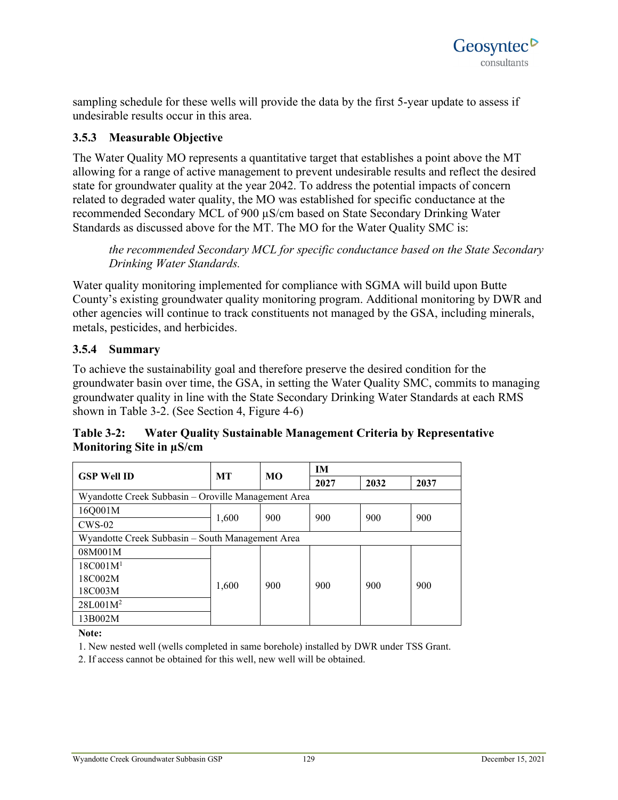sampling schedule for these wells will provide the data by the first 5-year update to assess if undesirable results occur in this area.

### **3.5.3 Measurable Objective**

The Water Quality MO represents a quantitative target that establishes a point above the MT allowing for a range of active management to prevent undesirable results and reflect the desired state for groundwater quality at the year 2042. To address the potential impacts of concern related to degraded water quality, the MO was established for specific conductance at the recommended Secondary MCL of 900 µS/cm based on State Secondary Drinking Water Standards as discussed above for the MT. The MO for the Water Quality SMC is:

*the recommended Secondary MCL for specific conductance based on the State Secondary Drinking Water Standards.*

Water quality monitoring implemented for compliance with SGMA will build upon Butte County's existing groundwater quality monitoring program. Additional monitoring by DWR and other agencies will continue to track constituents not managed by the GSA, including minerals, metals, pesticides, and herbicides.

### **3.5.4 Summary**

To achieve the sustainability goal and therefore preserve the desired condition for the groundwater basin over time, the GSA, in setting the Water Quality SMC, commits to managing groundwater quality in line with the State Secondary Drinking Water Standards at each RMS shown in Table 3-2. (See Section 4, Figure 4-6)

**Table 3-2: Water Quality Sustainable Management Criteria by Representative Monitoring Site in µS/cm**

| <b>GSP Well ID</b>                                  | <b>MT</b> | MO  | <b>IM</b> |      |      |  |  |  |  |
|-----------------------------------------------------|-----------|-----|-----------|------|------|--|--|--|--|
|                                                     |           |     | 2027      | 2032 | 2037 |  |  |  |  |
| Wyandotte Creek Subbasin – Oroville Management Area |           |     |           |      |      |  |  |  |  |
| 16Q001M                                             |           | 900 | 900       | 900  | 900  |  |  |  |  |
| $CWS-02$                                            | 1,600     |     |           |      |      |  |  |  |  |
| Wyandotte Creek Subbasin - South Management Area    |           |     |           |      |      |  |  |  |  |
| 08M001M                                             | 1,600     | 900 | 900       | 900  | 900  |  |  |  |  |
| 18C001M <sup>1</sup>                                |           |     |           |      |      |  |  |  |  |
| 18C002M                                             |           |     |           |      |      |  |  |  |  |
| 18C003M                                             |           |     |           |      |      |  |  |  |  |
| $28L001M^2$                                         |           |     |           |      |      |  |  |  |  |
| 13B002M                                             |           |     |           |      |      |  |  |  |  |

**Note:**

1. New nested well (wells completed in same borehole) installed by DWR under TSS Grant.

2. If access cannot be obtained for this well, new well will be obtained.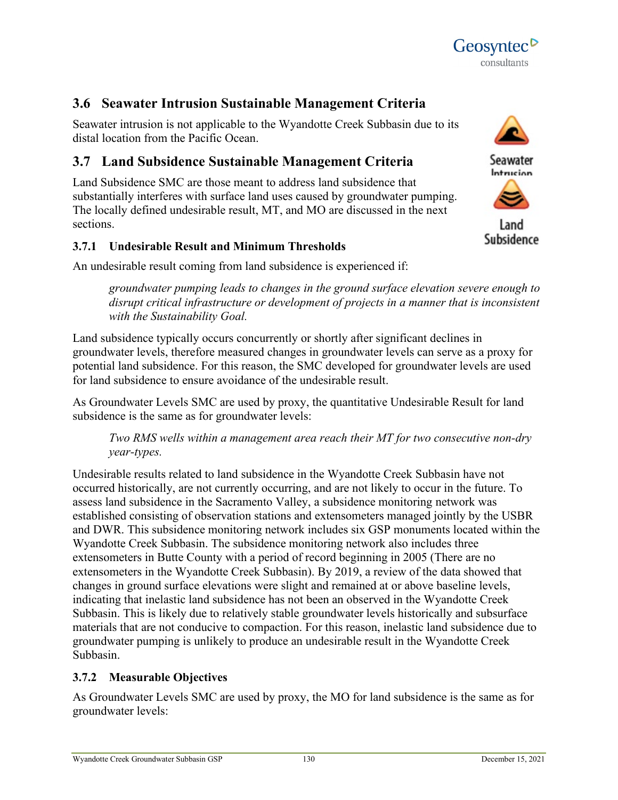

## **3.6 Seawater Intrusion Sustainable Management Criteria**

Seawater intrusion is not applicable to the Wyandotte Creek Subbasin due to its distal location from the Pacific Ocean.

## **3.7 Land Subsidence Sustainable Management Criteria**

Land Subsidence SMC are those meant to address land subsidence that substantially interferes with surface land uses caused by groundwater pumping. The locally defined undesirable result, MT, and MO are discussed in the next sections.

### **3.7.1 Undesirable Result and Minimum Thresholds**

An undesirable result coming from land subsidence is experienced if:

*groundwater pumping leads to changes in the ground surface elevation severe enough to disrupt critical infrastructure or development of projects in a manner that is inconsistent with the Sustainability Goal.*

Land subsidence typically occurs concurrently or shortly after significant declines in groundwater levels, therefore measured changes in groundwater levels can serve as a proxy for potential land subsidence. For this reason, the SMC developed for groundwater levels are used for land subsidence to ensure avoidance of the undesirable result.

As Groundwater Levels SMC are used by proxy, the quantitative Undesirable Result for land subsidence is the same as for groundwater levels:

*Two RMS wells within a management area reach their MT for two consecutive non-dry year-types.* 

Undesirable results related to land subsidence in the Wyandotte Creek Subbasin have not occurred historically, are not currently occurring, and are not likely to occur in the future. To assess land subsidence in the Sacramento Valley, a subsidence monitoring network was established consisting of observation stations and extensometers managed jointly by the USBR and DWR. This subsidence monitoring network includes six GSP monuments located within the Wyandotte Creek Subbasin. The subsidence monitoring network also includes three extensometers in Butte County with a period of record beginning in 2005 (There are no extensometers in the Wyandotte Creek Subbasin). By 2019, a review of the data showed that changes in ground surface elevations were slight and remained at or above baseline levels, indicating that inelastic land subsidence has not been an observed in the Wyandotte Creek Subbasin. This is likely due to relatively stable groundwater levels historically and subsurface materials that are not conducive to compaction. For this reason, inelastic land subsidence due to groundwater pumping is unlikely to produce an undesirable result in the Wyandotte Creek Subbasin.

## **3.7.2 Measurable Objectives**

As Groundwater Levels SMC are used by proxy, the MO for land subsidence is the same as for groundwater levels:





Land Subsidence

Geosyntec<sup>D</sup> consultants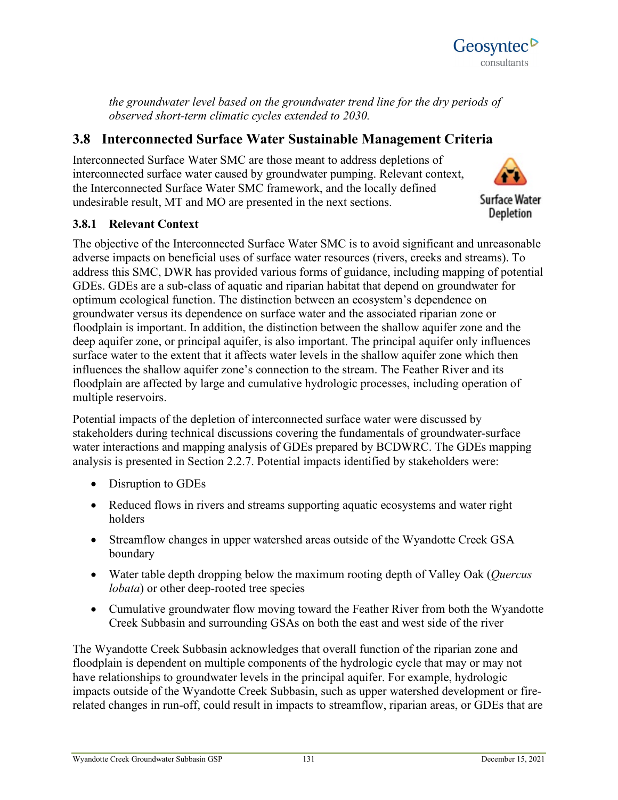

*the groundwater level based on the groundwater trend line for the dry periods of observed short-term climatic cycles extended to 2030.*

## **3.8 Interconnected Surface Water Sustainable Management Criteria**

Interconnected Surface Water SMC are those meant to address depletions of interconnected surface water caused by groundwater pumping. Relevant context, the Interconnected Surface Water SMC framework, and the locally defined undesirable result, MT and MO are presented in the next sections.



### **3.8.1 Relevant Context**

The objective of the Interconnected Surface Water SMC is to avoid significant and unreasonable adverse impacts on beneficial uses of surface water resources (rivers, creeks and streams). To address this SMC, DWR has provided various forms of guidance, including mapping of potential GDEs. GDEs are a sub-class of aquatic and riparian habitat that depend on groundwater for optimum ecological function. The distinction between an ecosystem's dependence on groundwater versus its dependence on surface water and the associated riparian zone or floodplain is important. In addition, the distinction between the shallow aquifer zone and the deep aquifer zone, or principal aquifer, is also important. The principal aquifer only influences surface water to the extent that it affects water levels in the shallow aquifer zone which then influences the shallow aquifer zone's connection to the stream. The Feather River and its floodplain are affected by large and cumulative hydrologic processes, including operation of multiple reservoirs.

Potential impacts of the depletion of interconnected surface water were discussed by stakeholders during technical discussions covering the fundamentals of groundwater-surface water interactions and mapping analysis of GDEs prepared by BCDWRC. The GDEs mapping analysis is presented in Section 2.2.7. Potential impacts identified by stakeholders were:

- Disruption to GDEs
- Reduced flows in rivers and streams supporting aquatic ecosystems and water right holders
- Streamflow changes in upper watershed areas outside of the Wyandotte Creek GSA boundary
- Water table depth dropping below the maximum rooting depth of Valley Oak (*Quercus lobata*) or other deep-rooted tree species
- Cumulative groundwater flow moving toward the Feather River from both the Wyandotte Creek Subbasin and surrounding GSAs on both the east and west side of the river

The Wyandotte Creek Subbasin acknowledges that overall function of the riparian zone and floodplain is dependent on multiple components of the hydrologic cycle that may or may not have relationships to groundwater levels in the principal aquifer. For example, hydrologic impacts outside of the Wyandotte Creek Subbasin, such as upper watershed development or firerelated changes in run-off, could result in impacts to streamflow, riparian areas, or GDEs that are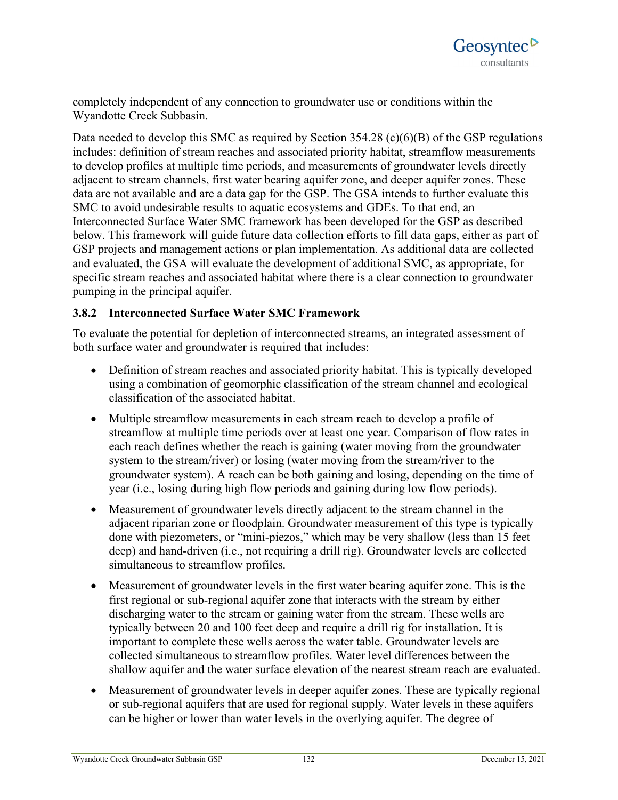completely independent of any connection to groundwater use or conditions within the Wyandotte Creek Subbasin.

Data needed to develop this SMC as required by Section 354.28 (c)(6)(B) of the GSP regulations includes: definition of stream reaches and associated priority habitat, streamflow measurements to develop profiles at multiple time periods, and measurements of groundwater levels directly adjacent to stream channels, first water bearing aquifer zone, and deeper aquifer zones. These data are not available and are a data gap for the GSP. The GSA intends to further evaluate this SMC to avoid undesirable results to aquatic ecosystems and GDEs. To that end, an Interconnected Surface Water SMC framework has been developed for the GSP as described below. This framework will guide future data collection efforts to fill data gaps, either as part of GSP projects and management actions or plan implementation. As additional data are collected and evaluated, the GSA will evaluate the development of additional SMC, as appropriate, for specific stream reaches and associated habitat where there is a clear connection to groundwater pumping in the principal aquifer.

### **3.8.2 Interconnected Surface Water SMC Framework**

To evaluate the potential for depletion of interconnected streams, an integrated assessment of both surface water and groundwater is required that includes:

- Definition of stream reaches and associated priority habitat. This is typically developed using a combination of geomorphic classification of the stream channel and ecological classification of the associated habitat.
- Multiple streamflow measurements in each stream reach to develop a profile of streamflow at multiple time periods over at least one year. Comparison of flow rates in each reach defines whether the reach is gaining (water moving from the groundwater system to the stream/river) or losing (water moving from the stream/river to the groundwater system). A reach can be both gaining and losing, depending on the time of year (i.e., losing during high flow periods and gaining during low flow periods).
- Measurement of groundwater levels directly adjacent to the stream channel in the adjacent riparian zone or floodplain. Groundwater measurement of this type is typically done with piezometers, or "mini-piezos," which may be very shallow (less than 15 feet deep) and hand-driven (i.e., not requiring a drill rig). Groundwater levels are collected simultaneous to streamflow profiles.
- Measurement of groundwater levels in the first water bearing aquifer zone. This is the first regional or sub-regional aquifer zone that interacts with the stream by either discharging water to the stream or gaining water from the stream. These wells are typically between 20 and 100 feet deep and require a drill rig for installation. It is important to complete these wells across the water table. Groundwater levels are collected simultaneous to streamflow profiles. Water level differences between the shallow aquifer and the water surface elevation of the nearest stream reach are evaluated.
- Measurement of groundwater levels in deeper aquifer zones. These are typically regional or sub-regional aquifers that are used for regional supply. Water levels in these aquifers can be higher or lower than water levels in the overlying aquifer. The degree of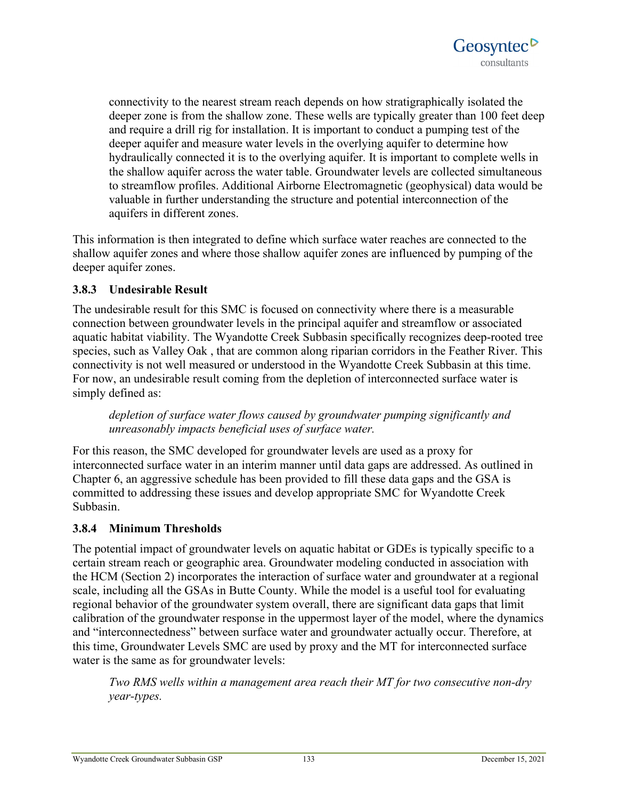

connectivity to the nearest stream reach depends on how stratigraphically isolated the deeper zone is from the shallow zone. These wells are typically greater than 100 feet deep and require a drill rig for installation. It is important to conduct a pumping test of the deeper aquifer and measure water levels in the overlying aquifer to determine how hydraulically connected it is to the overlying aquifer. It is important to complete wells in the shallow aquifer across the water table. Groundwater levels are collected simultaneous to streamflow profiles. Additional Airborne Electromagnetic (geophysical) data would be valuable in further understanding the structure and potential interconnection of the aquifers in different zones.

This information is then integrated to define which surface water reaches are connected to the shallow aquifer zones and where those shallow aquifer zones are influenced by pumping of the deeper aquifer zones.

### **3.8.3 Undesirable Result**

The undesirable result for this SMC is focused on connectivity where there is a measurable connection between groundwater levels in the principal aquifer and streamflow or associated aquatic habitat viability. The Wyandotte Creek Subbasin specifically recognizes deep-rooted tree species, such as Valley Oak , that are common along riparian corridors in the Feather River. This connectivity is not well measured or understood in the Wyandotte Creek Subbasin at this time. For now, an undesirable result coming from the depletion of interconnected surface water is simply defined as:

*depletion of surface water flows caused by groundwater pumping significantly and unreasonably impacts beneficial uses of surface water.*

For this reason, the SMC developed for groundwater levels are used as a proxy for interconnected surface water in an interim manner until data gaps are addressed. As outlined in Chapter 6, an aggressive schedule has been provided to fill these data gaps and the GSA is committed to addressing these issues and develop appropriate SMC for Wyandotte Creek Subbasin.

### **3.8.4 Minimum Thresholds**

The potential impact of groundwater levels on aquatic habitat or GDEs is typically specific to a certain stream reach or geographic area. Groundwater modeling conducted in association with the HCM (Section 2) incorporates the interaction of surface water and groundwater at a regional scale, including all the GSAs in Butte County. While the model is a useful tool for evaluating regional behavior of the groundwater system overall, there are significant data gaps that limit calibration of the groundwater response in the uppermost layer of the model, where the dynamics and "interconnectedness" between surface water and groundwater actually occur. Therefore, at this time, Groundwater Levels SMC are used by proxy and the MT for interconnected surface water is the same as for groundwater levels:

*Two RMS wells within a management area reach their MT for two consecutive non-dry year-types.*